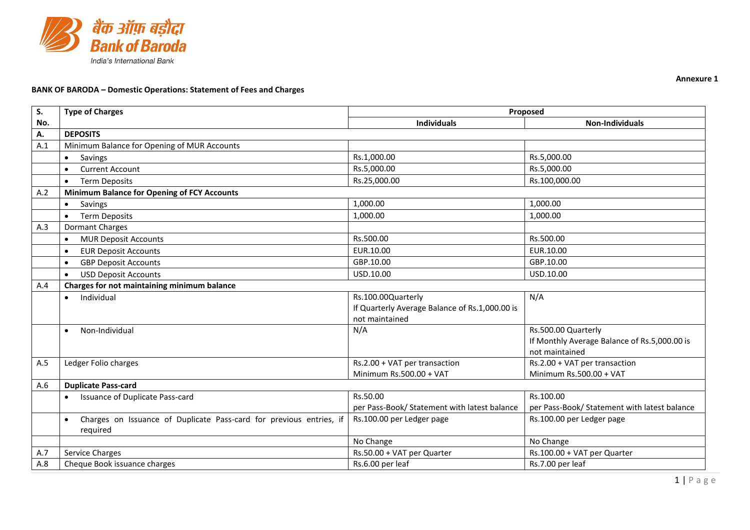

## **BANK OF BARODA – Domestic Operations: Statement of Fees and Charges**

| S.  | <b>Type of Charges</b>                                                           | Proposed                                                 |                                                          |
|-----|----------------------------------------------------------------------------------|----------------------------------------------------------|----------------------------------------------------------|
| No. |                                                                                  | <b>Individuals</b>                                       | <b>Non-Individuals</b>                                   |
| А.  | <b>DEPOSITS</b>                                                                  |                                                          |                                                          |
| A.1 | Minimum Balance for Opening of MUR Accounts                                      |                                                          |                                                          |
|     | Savings<br>$\bullet$                                                             | Rs.1,000.00                                              | Rs.5,000.00                                              |
|     | <b>Current Account</b><br>$\bullet$                                              | Rs.5,000.00                                              | Rs.5,000.00                                              |
|     | <b>Term Deposits</b><br>$\bullet$                                                | Rs.25,000.00                                             | Rs.100,000.00                                            |
| A.2 | <b>Minimum Balance for Opening of FCY Accounts</b>                               |                                                          |                                                          |
|     | Savings<br>$\bullet$                                                             | 1,000.00                                                 | 1,000.00                                                 |
|     | <b>Term Deposits</b><br>$\bullet$                                                | 1,000.00                                                 | 1,000.00                                                 |
| A.3 | <b>Dormant Charges</b>                                                           |                                                          |                                                          |
|     | <b>MUR Deposit Accounts</b><br>$\bullet$                                         | Rs.500.00                                                | Rs.500.00                                                |
|     | <b>EUR Deposit Accounts</b>                                                      | EUR.10.00                                                | EUR.10.00                                                |
|     | <b>GBP Deposit Accounts</b><br>$\bullet$                                         | GBP.10.00                                                | GBP.10.00                                                |
|     | <b>USD Deposit Accounts</b><br>$\bullet$                                         | USD.10.00                                                | USD.10.00                                                |
| A.4 | Charges for not maintaining minimum balance                                      |                                                          |                                                          |
|     | Individual<br>$\bullet$                                                          | Rs.100.00Quarterly                                       | N/A                                                      |
|     |                                                                                  | If Quarterly Average Balance of Rs.1,000.00 is           |                                                          |
|     |                                                                                  | not maintained                                           |                                                          |
|     | Non-Individual<br>$\bullet$                                                      | N/A                                                      | Rs.500.00 Quarterly                                      |
|     |                                                                                  |                                                          | If Monthly Average Balance of Rs.5,000.00 is             |
|     |                                                                                  |                                                          | not maintained                                           |
| A.5 | Ledger Folio charges                                                             | Rs.2.00 + VAT per transaction<br>Minimum Rs.500.00 + VAT | Rs.2.00 + VAT per transaction<br>Minimum Rs.500.00 + VAT |
| A.6 | <b>Duplicate Pass-card</b>                                                       |                                                          |                                                          |
|     | Issuance of Duplicate Pass-card<br>$\bullet$                                     | Rs.50.00                                                 | Rs.100.00                                                |
|     |                                                                                  | per Pass-Book/ Statement with latest balance             | per Pass-Book/ Statement with latest balance             |
|     | Charges on Issuance of Duplicate Pass-card for previous entries, if<br>$\bullet$ | Rs.100.00 per Ledger page                                | Rs.100.00 per Ledger page                                |
|     | required                                                                         |                                                          |                                                          |
|     |                                                                                  | No Change                                                | No Change                                                |
| A.7 | Service Charges                                                                  | Rs.50.00 + VAT per Quarter                               | Rs.100.00 + VAT per Quarter                              |
| A.8 | Cheque Book issuance charges                                                     | Rs.6.00 per leaf                                         | Rs.7.00 per leaf                                         |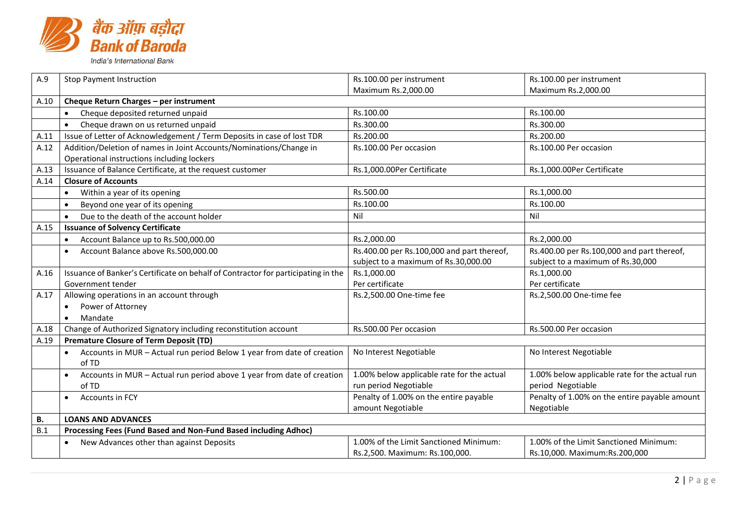

| A.9  | <b>Stop Payment Instruction</b>                                                   | Rs.100.00 per instrument                   | Rs.100.00 per instrument                       |  |
|------|-----------------------------------------------------------------------------------|--------------------------------------------|------------------------------------------------|--|
|      |                                                                                   | Maximum Rs.2,000.00                        | Maximum Rs.2,000.00                            |  |
| A.10 | Cheque Return Charges - per instrument                                            |                                            |                                                |  |
|      | Cheque deposited returned unpaid<br>$\bullet$                                     | Rs.100.00                                  | Rs.100.00                                      |  |
|      | Cheque drawn on us returned unpaid<br>$\bullet$                                   | Rs.300.00                                  | Rs.300.00                                      |  |
| A.11 | Issue of Letter of Acknowledgement / Term Deposits in case of lost TDR            | Rs.200.00                                  | Rs.200.00                                      |  |
| A.12 | Addition/Deletion of names in Joint Accounts/Nominations/Change in                | Rs.100.00 Per occasion                     | Rs.100.00 Per occasion                         |  |
|      | Operational instructions including lockers                                        |                                            |                                                |  |
| A.13 | Issuance of Balance Certificate, at the request customer                          | Rs.1,000.00Per Certificate                 | Rs.1,000.00Per Certificate                     |  |
| A.14 | <b>Closure of Accounts</b>                                                        |                                            |                                                |  |
|      | Within a year of its opening<br>$\bullet$                                         | Rs.500.00                                  | Rs.1,000.00                                    |  |
|      | Beyond one year of its opening                                                    | Rs.100.00                                  | Rs.100.00                                      |  |
|      | Due to the death of the account holder<br>$\bullet$                               | Nil                                        | Nil                                            |  |
| A.15 | <b>Issuance of Solvency Certificate</b>                                           |                                            |                                                |  |
|      | Account Balance up to Rs.500,000.00                                               | Rs.2,000.00                                | Rs.2,000.00                                    |  |
|      | Account Balance above Rs.500,000.00                                               | Rs.400.00 per Rs.100,000 and part thereof, | Rs.400.00 per Rs.100,000 and part thereof,     |  |
|      |                                                                                   | subject to a maximum of Rs.30,000.00       | subject to a maximum of Rs.30,000              |  |
| A.16 | Issuance of Banker's Certificate on behalf of Contractor for participating in the | Rs.1,000.00                                | Rs.1,000.00                                    |  |
|      | Government tender                                                                 | Per certificate                            | Per certificate                                |  |
| A.17 | Allowing operations in an account through                                         | Rs.2,500.00 One-time fee                   | Rs.2,500.00 One-time fee                       |  |
|      | Power of Attorney                                                                 |                                            |                                                |  |
|      | Mandate                                                                           |                                            |                                                |  |
| A.18 | Change of Authorized Signatory including reconstitution account                   | Rs.500.00 Per occasion                     | Rs.500.00 Per occasion                         |  |
| A.19 | <b>Premature Closure of Term Deposit (TD)</b>                                     |                                            |                                                |  |
|      | Accounts in MUR - Actual run period Below 1 year from date of creation            | No Interest Negotiable                     | No Interest Negotiable                         |  |
|      | of TD                                                                             |                                            |                                                |  |
|      | Accounts in MUR - Actual run period above 1 year from date of creation            | 1.00% below applicable rate for the actual | 1.00% below applicable rate for the actual run |  |
|      | of TD                                                                             | run period Negotiable                      | period Negotiable                              |  |
|      | Accounts in FCY                                                                   | Penalty of 1.00% on the entire payable     | Penalty of 1.00% on the entire payable amount  |  |
|      |                                                                                   | amount Negotiable                          | Negotiable                                     |  |
| В.   | <b>LOANS AND ADVANCES</b>                                                         |                                            |                                                |  |
| B.1  | Processing Fees (Fund Based and Non-Fund Based including Adhoc)                   |                                            |                                                |  |
|      | New Advances other than against Deposits                                          | 1.00% of the Limit Sanctioned Minimum:     | 1.00% of the Limit Sanctioned Minimum:         |  |
|      |                                                                                   | Rs.2,500. Maximum: Rs.100,000.             | Rs.10,000. Maximum:Rs.200,000                  |  |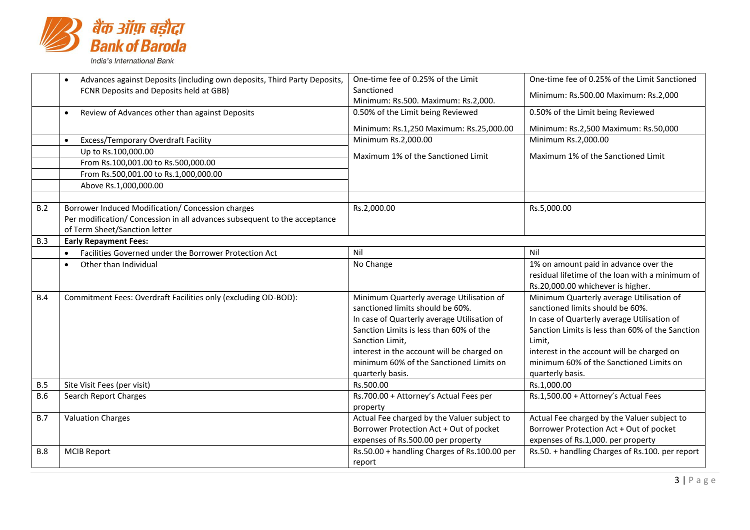

|            | Advances against Deposits (including own deposits, Third Party Deposits,  | One-time fee of 0.25% of the Limit           | One-time fee of 0.25% of the Limit Sanctioned    |
|------------|---------------------------------------------------------------------------|----------------------------------------------|--------------------------------------------------|
|            | FCNR Deposits and Deposits held at GBB)                                   | Sanctioned                                   | Minimum: Rs.500.00 Maximum: Rs.2,000             |
|            |                                                                           | Minimum: Rs.500. Maximum: Rs.2,000.          |                                                  |
|            | Review of Advances other than against Deposits<br>$\bullet$               | 0.50% of the Limit being Reviewed            | 0.50% of the Limit being Reviewed                |
|            |                                                                           | Minimum: Rs.1,250 Maximum: Rs.25,000.00      | Minimum: Rs.2,500 Maximum: Rs.50,000             |
|            | Excess/Temporary Overdraft Facility                                       | Minimum Rs.2,000.00                          | Minimum Rs.2,000.00                              |
|            | Up to Rs.100,000.00                                                       | Maximum 1% of the Sanctioned Limit           | Maximum 1% of the Sanctioned Limit               |
|            | From Rs.100,001.00 to Rs.500,000.00                                       |                                              |                                                  |
|            | From Rs.500,001.00 to Rs.1,000,000.00                                     |                                              |                                                  |
|            | Above Rs.1,000,000.00                                                     |                                              |                                                  |
|            |                                                                           |                                              |                                                  |
| B.2        | Borrower Induced Modification/ Concession charges                         | Rs.2,000.00                                  | Rs.5,000.00                                      |
|            | Per modification/ Concession in all advances subsequent to the acceptance |                                              |                                                  |
|            | of Term Sheet/Sanction letter                                             |                                              |                                                  |
| B.3        | <b>Early Repayment Fees:</b>                                              |                                              |                                                  |
|            | Facilities Governed under the Borrower Protection Act<br>$\bullet$        | Nil                                          | Nil                                              |
|            | Other than Individual                                                     | No Change                                    | 1% on amount paid in advance over the            |
|            |                                                                           |                                              | residual lifetime of the loan with a minimum of  |
|            |                                                                           |                                              | Rs.20,000.00 whichever is higher.                |
| B.4        | Commitment Fees: Overdraft Facilities only (excluding OD-BOD):            | Minimum Quarterly average Utilisation of     | Minimum Quarterly average Utilisation of         |
|            |                                                                           | sanctioned limits should be 60%.             | sanctioned limits should be 60%.                 |
|            |                                                                           | In case of Quarterly average Utilisation of  | In case of Quarterly average Utilisation of      |
|            |                                                                           | Sanction Limits is less than 60% of the      | Sanction Limits is less than 60% of the Sanction |
|            |                                                                           | Sanction Limit,                              | Limit,                                           |
|            |                                                                           | interest in the account will be charged on   | interest in the account will be charged on       |
|            |                                                                           | minimum 60% of the Sanctioned Limits on      | minimum 60% of the Sanctioned Limits on          |
|            |                                                                           | quarterly basis.                             | quarterly basis.                                 |
| B.5        | Site Visit Fees (per visit)                                               | Rs.500.00                                    | Rs.1,000.00                                      |
| <b>B.6</b> | Search Report Charges                                                     | Rs.700.00 + Attorney's Actual Fees per       | Rs.1,500.00 + Attorney's Actual Fees             |
|            |                                                                           | property                                     |                                                  |
| B.7        | <b>Valuation Charges</b>                                                  | Actual Fee charged by the Valuer subject to  | Actual Fee charged by the Valuer subject to      |
|            |                                                                           | Borrower Protection Act + Out of pocket      | Borrower Protection Act + Out of pocket          |
|            |                                                                           | expenses of Rs.500.00 per property           | expenses of Rs.1,000. per property               |
| <b>B.8</b> | <b>MCIB Report</b>                                                        | Rs.50.00 + handling Charges of Rs.100.00 per | Rs.50. + handling Charges of Rs.100. per report  |
|            |                                                                           | report                                       |                                                  |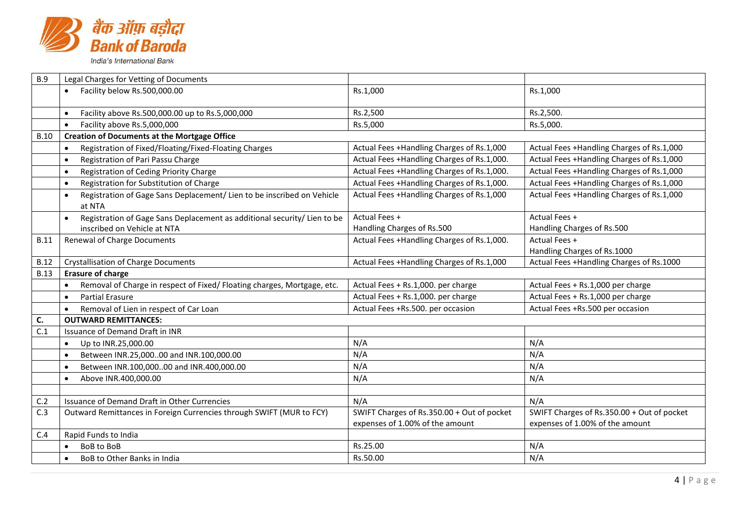

| <b>B.9</b>  | Legal Charges for Vetting of Documents                                                        |                                                                               |                                                                               |
|-------------|-----------------------------------------------------------------------------------------------|-------------------------------------------------------------------------------|-------------------------------------------------------------------------------|
|             | • Facility below Rs.500,000.00                                                                | Rs.1,000                                                                      | Rs.1,000                                                                      |
|             | Facility above Rs.500,000.00 up to Rs.5,000,000<br>$\bullet$                                  | Rs.2,500                                                                      | Rs.2,500.                                                                     |
|             | Facility above Rs.5,000,000<br>$\bullet$                                                      | Rs.5,000                                                                      | Rs.5,000.                                                                     |
| <b>B.10</b> | <b>Creation of Documents at the Mortgage Office</b>                                           |                                                                               |                                                                               |
|             | Registration of Fixed/Floating/Fixed-Floating Charges<br>$\bullet$                            | Actual Fees +Handling Charges of Rs.1,000                                     | Actual Fees +Handling Charges of Rs.1,000                                     |
|             | Registration of Pari Passu Charge<br>$\bullet$                                                | Actual Fees +Handling Charges of Rs.1,000.                                    | Actual Fees +Handling Charges of Rs.1,000                                     |
|             | Registration of Ceding Priority Charge<br>$\bullet$                                           | Actual Fees +Handling Charges of Rs.1,000.                                    | Actual Fees +Handling Charges of Rs.1,000                                     |
|             | Registration for Substitution of Charge<br>$\bullet$                                          | Actual Fees +Handling Charges of Rs.1,000.                                    | Actual Fees +Handling Charges of Rs.1,000                                     |
|             | Registration of Gage Sans Deplacement/ Lien to be inscribed on Vehicle<br>$\bullet$<br>at NTA | Actual Fees +Handling Charges of Rs.1,000                                     | Actual Fees +Handling Charges of Rs.1,000                                     |
|             | Registration of Gage Sans Deplacement as additional security/ Lien to be<br>$\bullet$         | Actual Fees +                                                                 | Actual Fees +                                                                 |
|             | inscribed on Vehicle at NTA                                                                   | Handling Charges of Rs.500                                                    | Handling Charges of Rs.500                                                    |
| <b>B.11</b> | <b>Renewal of Charge Documents</b>                                                            | Actual Fees +Handling Charges of Rs.1,000.                                    | Actual Fees +                                                                 |
|             |                                                                                               |                                                                               | Handling Charges of Rs.1000                                                   |
| <b>B.12</b> | <b>Crystallisation of Charge Documents</b>                                                    | Actual Fees +Handling Charges of Rs.1,000                                     | Actual Fees +Handling Charges of Rs.1000                                      |
| <b>B.13</b> | <b>Erasure of charge</b>                                                                      |                                                                               |                                                                               |
|             | Removal of Charge in respect of Fixed/ Floating charges, Mortgage, etc.<br>$\bullet$          | Actual Fees + Rs.1,000. per charge                                            | Actual Fees + Rs.1,000 per charge                                             |
|             | <b>Partial Erasure</b><br>$\bullet$                                                           | Actual Fees + Rs.1,000. per charge                                            | Actual Fees + Rs.1,000 per charge                                             |
|             |                                                                                               |                                                                               |                                                                               |
|             | Removal of Lien in respect of Car Loan<br>$\bullet$                                           | Actual Fees +Rs.500. per occasion                                             | Actual Fees +Rs.500 per occasion                                              |
| C.          | <b>OUTWARD REMITTANCES:</b>                                                                   |                                                                               |                                                                               |
| C.1         | Issuance of Demand Draft in INR                                                               |                                                                               |                                                                               |
|             | Up to INR.25,000.00<br>$\bullet$                                                              | N/A                                                                           | N/A                                                                           |
|             | Between INR.25,00000 and INR.100,000.00<br>$\bullet$                                          | N/A                                                                           | N/A                                                                           |
|             | Between INR.100,00000 and INR.400,000.00<br>$\bullet$                                         | N/A                                                                           | N/A                                                                           |
|             | Above INR.400,000.00<br>$\bullet$                                                             | N/A                                                                           | N/A                                                                           |
|             |                                                                                               |                                                                               |                                                                               |
| C.2         | Issuance of Demand Draft in Other Currencies                                                  | N/A                                                                           | N/A                                                                           |
| C.3         | Outward Remittances in Foreign Currencies through SWIFT (MUR to FCY)                          | SWIFT Charges of Rs.350.00 + Out of pocket<br>expenses of 1.00% of the amount | SWIFT Charges of Rs.350.00 + Out of pocket<br>expenses of 1.00% of the amount |
| C.4         | Rapid Funds to India                                                                          |                                                                               |                                                                               |
|             | BoB to BoB<br>$\bullet$                                                                       | Rs.25.00                                                                      | N/A<br>N/A                                                                    |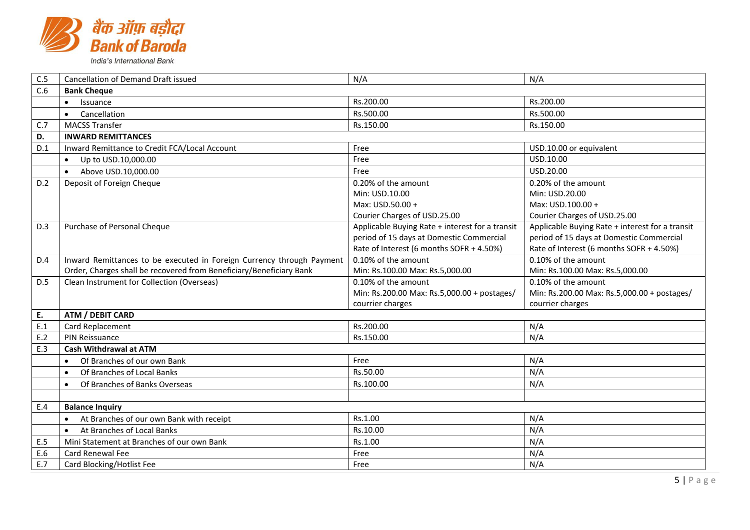

| C.5 | <b>Cancellation of Demand Draft issued</b>                            | N/A                                             | N/A                                             |
|-----|-----------------------------------------------------------------------|-------------------------------------------------|-------------------------------------------------|
| C.6 | <b>Bank Cheque</b>                                                    |                                                 |                                                 |
|     | Issuance<br>$\bullet$                                                 | Rs.200.00                                       | Rs.200.00                                       |
|     | Cancellation<br>$\bullet$                                             | Rs.500.00                                       | Rs.500.00                                       |
| C.7 | <b>MACSS Transfer</b>                                                 | Rs.150.00                                       | Rs.150.00                                       |
| D.  | <b>INWARD REMITTANCES</b>                                             |                                                 |                                                 |
| D.1 | Inward Remittance to Credit FCA/Local Account                         | Free                                            | USD.10.00 or equivalent                         |
|     | Up to USD.10,000.00<br>$\bullet$                                      | Free                                            | USD.10.00                                       |
|     | Above USD.10,000.00<br>$\bullet$                                      | Free                                            | USD.20.00                                       |
| D.2 | Deposit of Foreign Cheque                                             | 0.20% of the amount                             | 0.20% of the amount                             |
|     |                                                                       | Min: USD.10.00                                  | Min: USD.20.00                                  |
|     |                                                                       | Max: USD.50.00 +                                | Max: USD.100.00 +                               |
|     |                                                                       | Courier Charges of USD.25.00                    | Courier Charges of USD.25.00                    |
| D.3 | Purchase of Personal Cheque                                           | Applicable Buying Rate + interest for a transit | Applicable Buying Rate + interest for a transit |
|     |                                                                       | period of 15 days at Domestic Commercial        | period of 15 days at Domestic Commercial        |
|     |                                                                       | Rate of Interest (6 months SOFR + 4.50%)        | Rate of Interest (6 months SOFR + 4.50%)        |
| D.4 | Inward Remittances to be executed in Foreign Currency through Payment | 0.10% of the amount                             | 0.10% of the amount                             |
|     | Order, Charges shall be recovered from Beneficiary/Beneficiary Bank   | Min: Rs.100.00 Max: Rs.5,000.00                 | Min: Rs.100.00 Max: Rs.5,000.00                 |
| D.5 | Clean Instrument for Collection (Overseas)                            | 0.10% of the amount                             | 0.10% of the amount                             |
|     |                                                                       | Min: Rs.200.00 Max: Rs.5,000.00 + postages/     | Min: Rs.200.00 Max: Rs.5,000.00 + postages/     |
|     |                                                                       | courrier charges                                | courrier charges                                |
| E.  | ATM / DEBIT CARD                                                      |                                                 |                                                 |
| E.1 | Card Replacement                                                      | Rs.200.00                                       | N/A                                             |
| E.2 | PIN Reissuance                                                        | Rs.150.00                                       | N/A                                             |
| E.3 | <b>Cash Withdrawal at ATM</b>                                         |                                                 |                                                 |
|     | Of Branches of our own Bank                                           | Free                                            | N/A                                             |
|     | Of Branches of Local Banks                                            | Rs.50.00                                        | N/A                                             |
|     | Of Branches of Banks Overseas<br>$\bullet$                            | Rs.100.00                                       | N/A                                             |
|     |                                                                       |                                                 |                                                 |
| E.4 | <b>Balance Inquiry</b>                                                |                                                 |                                                 |
|     | At Branches of our own Bank with receipt                              | Rs.1.00                                         | N/A                                             |
|     | At Branches of Local Banks                                            | Rs.10.00                                        | N/A                                             |
| E.5 | Mini Statement at Branches of our own Bank                            | Rs.1.00                                         | N/A                                             |
| E.6 | <b>Card Renewal Fee</b>                                               | Free                                            | N/A                                             |
| E.7 | Card Blocking/Hotlist Fee                                             | Free                                            | N/A                                             |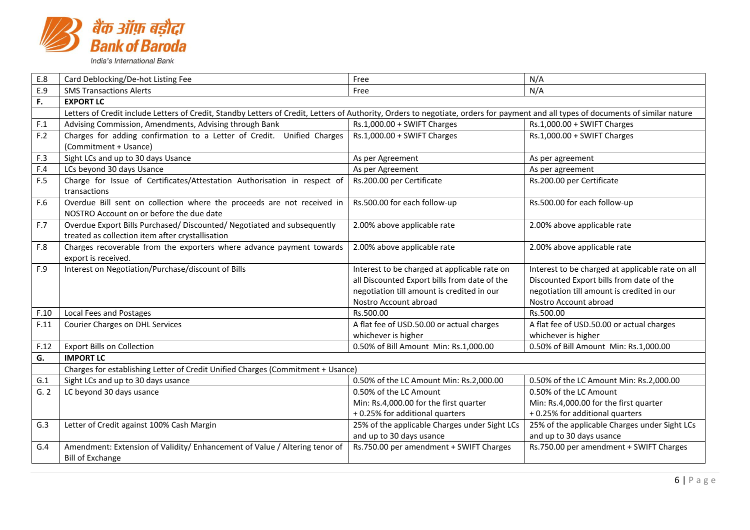

| E.8  | Card Deblocking/De-hot Listing Fee                                                                                                                                                 | Free                                          | N/A                                              |
|------|------------------------------------------------------------------------------------------------------------------------------------------------------------------------------------|-----------------------------------------------|--------------------------------------------------|
| E.9  | <b>SMS Transactions Alerts</b>                                                                                                                                                     | Free                                          | N/A                                              |
| F.   | <b>EXPORT LC</b>                                                                                                                                                                   |                                               |                                                  |
|      | Letters of Credit include Letters of Credit, Standby Letters of Credit, Letters of Authority, Orders to negotiate, orders for payment and all types of documents of similar nature |                                               |                                                  |
| F.1  | Advising Commission, Amendments, Advising through Bank                                                                                                                             | Rs.1,000.00 + SWIFT Charges                   | Rs.1,000.00 + SWIFT Charges                      |
| F.2  | Charges for adding confirmation to a Letter of Credit. Unified Charges                                                                                                             | Rs.1,000.00 + SWIFT Charges                   | $Rs.1,000.00 + SWIFT$ Charges                    |
|      | (Commitment + Usance)                                                                                                                                                              |                                               |                                                  |
| F.3  | Sight LCs and up to 30 days Usance                                                                                                                                                 | As per Agreement                              | As per agreement                                 |
| F.4  | LCs beyond 30 days Usance                                                                                                                                                          | As per Agreement                              | As per agreement                                 |
| F.5  | Charge for Issue of Certificates/Attestation Authorisation in respect of<br>transactions                                                                                           | Rs.200.00 per Certificate                     | Rs.200.00 per Certificate                        |
| F.6  | Overdue Bill sent on collection where the proceeds are not received in                                                                                                             | Rs.500.00 for each follow-up                  | Rs.500.00 for each follow-up                     |
|      | NOSTRO Account on or before the due date                                                                                                                                           |                                               |                                                  |
| F.7  | Overdue Export Bills Purchased/ Discounted/ Negotiated and subsequently                                                                                                            | 2.00% above applicable rate                   | 2.00% above applicable rate                      |
|      | treated as collection item after crystallisation                                                                                                                                   |                                               |                                                  |
| F.8  | Charges recoverable from the exporters where advance payment towards<br>export is received.                                                                                        | 2.00% above applicable rate                   | 2.00% above applicable rate                      |
| F.9  | Interest on Negotiation/Purchase/discount of Bills                                                                                                                                 | Interest to be charged at applicable rate on  | Interest to be charged at applicable rate on all |
|      |                                                                                                                                                                                    | all Discounted Export bills from date of the  | Discounted Export bills from date of the         |
|      |                                                                                                                                                                                    | negotiation till amount is credited in our    | negotiation till amount is credited in our       |
|      |                                                                                                                                                                                    | Nostro Account abroad                         | Nostro Account abroad                            |
| F.10 | Local Fees and Postages                                                                                                                                                            | Rs.500.00                                     | Rs.500.00                                        |
| F.11 | <b>Courier Charges on DHL Services</b>                                                                                                                                             | A flat fee of USD.50.00 or actual charges     | A flat fee of USD.50.00 or actual charges        |
|      |                                                                                                                                                                                    | whichever is higher                           | whichever is higher                              |
| F.12 | <b>Export Bills on Collection</b>                                                                                                                                                  | 0.50% of Bill Amount Min: Rs.1,000.00         | 0.50% of Bill Amount Min: Rs.1,000.00            |
| G.   | <b>IMPORT LC</b>                                                                                                                                                                   |                                               |                                                  |
|      | Charges for establishing Letter of Credit Unified Charges (Commitment + Usance)                                                                                                    |                                               |                                                  |
| G.1  | Sight LCs and up to 30 days usance                                                                                                                                                 | 0.50% of the LC Amount Min: Rs.2,000.00       | 0.50% of the LC Amount Min: Rs.2,000.00          |
| G.2  | LC beyond 30 days usance                                                                                                                                                           | 0.50% of the LC Amount                        | 0.50% of the LC Amount                           |
|      |                                                                                                                                                                                    | Min: Rs.4,000.00 for the first quarter        | Min: Rs.4,000.00 for the first quarter           |
|      |                                                                                                                                                                                    | +0.25% for additional quarters                | +0.25% for additional quarters                   |
| G.3  | Letter of Credit against 100% Cash Margin                                                                                                                                          | 25% of the applicable Charges under Sight LCs | 25% of the applicable Charges under Sight LCs    |
|      |                                                                                                                                                                                    | and up to 30 days usance                      | and up to 30 days usance                         |
| G.4  | Amendment: Extension of Validity/Enhancement of Value / Altering tenor of                                                                                                          | Rs.750.00 per amendment + SWIFT Charges       | Rs.750.00 per amendment + SWIFT Charges          |
|      | <b>Bill of Exchange</b>                                                                                                                                                            |                                               |                                                  |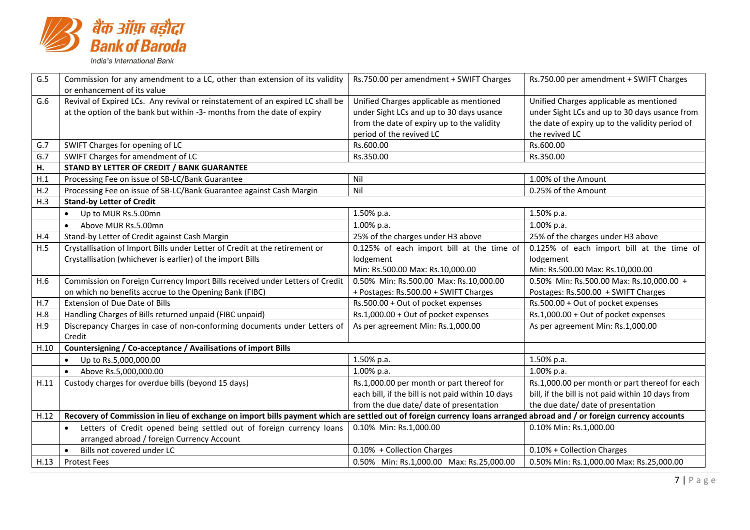

| G.5  | Commission for any amendment to a LC, other than extension of its validity                                                                                            | Rs.750.00 per amendment + SWIFT Charges           | Rs.750.00 per amendment + SWIFT Charges           |
|------|-----------------------------------------------------------------------------------------------------------------------------------------------------------------------|---------------------------------------------------|---------------------------------------------------|
|      | or enhancement of its value                                                                                                                                           |                                                   |                                                   |
| G.6  | Revival of Expired LCs. Any revival or reinstatement of an expired LC shall be                                                                                        | Unified Charges applicable as mentioned           | Unified Charges applicable as mentioned           |
|      | at the option of the bank but within -3- months from the date of expiry                                                                                               | under Sight LCs and up to 30 days usance          | under Sight LCs and up to 30 days usance from     |
|      |                                                                                                                                                                       | from the date of expiry up to the validity        | the date of expiry up to the validity period of   |
|      |                                                                                                                                                                       | period of the revived LC                          | the revived LC                                    |
| G.7  | SWIFT Charges for opening of LC                                                                                                                                       | Rs.600.00                                         | Rs.600.00                                         |
| G.7  | SWIFT Charges for amendment of LC                                                                                                                                     | Rs.350.00                                         | Rs.350.00                                         |
| Н.   | <b>STAND BY LETTER OF CREDIT / BANK GUARANTEE</b>                                                                                                                     |                                                   |                                                   |
| H.1  | Processing Fee on issue of SB-LC/Bank Guarantee                                                                                                                       | Nil                                               | 1.00% of the Amount                               |
| H.2  | Processing Fee on issue of SB-LC/Bank Guarantee against Cash Margin                                                                                                   | Nil                                               | 0.25% of the Amount                               |
| H.3  | <b>Stand-by Letter of Credit</b>                                                                                                                                      |                                                   |                                                   |
|      | Up to MUR Rs.5.00mn<br>$\bullet$                                                                                                                                      | 1.50% p.a.                                        | 1.50% p.a.                                        |
|      | Above MUR Rs.5.00mn<br>$\bullet$                                                                                                                                      | 1.00% p.a.                                        | 1.00% p.a.                                        |
| H.4  | Stand-by Letter of Credit against Cash Margin                                                                                                                         | 25% of the charges under H3 above                 | 25% of the charges under H3 above                 |
| H.5  | Crystallisation of Import Bills under Letter of Credit at the retirement or                                                                                           | 0.125% of each import bill at the time of         | 0.125% of each import bill at the time of         |
|      | Crystallisation (whichever is earlier) of the import Bills                                                                                                            | lodgement                                         | lodgement                                         |
|      |                                                                                                                                                                       | Min: Rs.500.00 Max: Rs.10,000.00                  | Min: Rs.500.00 Max: Rs.10,000.00                  |
| H.6  | Commission on Foreign Currency Import Bills received under Letters of Credit                                                                                          | 0.50% Min: Rs.500.00 Max: Rs.10,000.00            | 0.50% Min: Rs.500.00 Max: Rs.10,000.00 +          |
|      | on which no benefits accrue to the Opening Bank (FIBC)                                                                                                                | + Postages: Rs.500.00 + SWIFT Charges             | Postages: Rs.500.00 + SWIFT Charges               |
| H.7  | Extension of Due Date of Bills                                                                                                                                        | Rs.500.00 + Out of pocket expenses                | Rs.500.00 + Out of pocket expenses                |
| H.8  | Handling Charges of Bills returned unpaid (FIBC unpaid)                                                                                                               | Rs.1,000.00 + Out of pocket expenses              | Rs.1,000.00 + Out of pocket expenses              |
| H.9  | Discrepancy Charges in case of non-conforming documents under Letters of                                                                                              | As per agreement Min: Rs.1,000.00                 | As per agreement Min: Rs.1,000.00                 |
|      | Credit                                                                                                                                                                |                                                   |                                                   |
| H.10 | Countersigning / Co-acceptance / Availisations of import Bills                                                                                                        |                                                   |                                                   |
|      | Up to Rs.5,000,000.00                                                                                                                                                 | 1.50% p.a.                                        | 1.50% p.a.                                        |
|      | Above Rs.5,000,000.00<br>$\bullet$                                                                                                                                    | $1.00\%$ p.a.                                     | 1.00% p.a.                                        |
| H.11 | Custody charges for overdue bills (beyond 15 days)                                                                                                                    | Rs.1,000.00 per month or part thereof for         | Rs.1,000.00 per month or part thereof for each    |
|      |                                                                                                                                                                       | each bill, if the bill is not paid within 10 days | bill, if the bill is not paid within 10 days from |
|      |                                                                                                                                                                       | from the due date/ date of presentation           | the due date/ date of presentation                |
| H.12 | Recovery of Commission in lieu of exchange on import bills payment which are settled out of foreign currency loans arranged abroad and / or foreign currency accounts |                                                   |                                                   |
|      | Letters of Credit opened being settled out of foreign currency loans                                                                                                  | 0.10% Min: Rs.1,000.00                            | 0.10% Min: Rs.1,000.00                            |
|      | arranged abroad / foreign Currency Account                                                                                                                            |                                                   |                                                   |
|      | Bills not covered under LC                                                                                                                                            | 0.10% + Collection Charges                        | 0.10% + Collection Charges                        |
| H.13 | <b>Protest Fees</b>                                                                                                                                                   | 0.50% Min: Rs.1,000.00 Max: Rs.25,000.00          | 0.50% Min: Rs.1,000.00 Max: Rs.25,000.00          |
|      |                                                                                                                                                                       |                                                   |                                                   |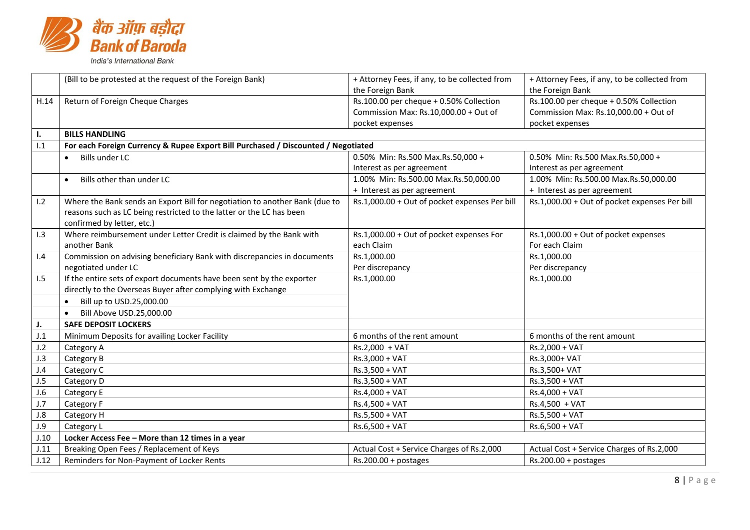

|      | (Bill to be protested at the request of the Foreign Bank)                         | + Attorney Fees, if any, to be collected from | + Attorney Fees, if any, to be collected from |
|------|-----------------------------------------------------------------------------------|-----------------------------------------------|-----------------------------------------------|
|      |                                                                                   | the Foreign Bank                              | the Foreign Bank                              |
| H.14 | Return of Foreign Cheque Charges                                                  | Rs.100.00 per cheque + 0.50% Collection       | Rs.100.00 per cheque + 0.50% Collection       |
|      |                                                                                   | Commission Max: Rs.10,000.00 + Out of         | Commission Max: Rs.10,000.00 + Out of         |
|      |                                                                                   | pocket expenses                               | pocket expenses                               |
| ı.   | <b>BILLS HANDLING</b>                                                             |                                               |                                               |
| 1.1  | For each Foreign Currency & Rupee Export Bill Purchased / Discounted / Negotiated |                                               |                                               |
|      | <b>Bills under LC</b>                                                             | 0.50% Min: Rs.500 Max.Rs.50,000 +             | 0.50% Min: Rs.500 Max.Rs.50,000 +             |
|      |                                                                                   | Interest as per agreement                     | Interest as per agreement                     |
|      | Bills other than under LC                                                         | 1.00% Min: Rs.500.00 Max.Rs.50,000.00         | 1.00% Min: Rs.500.00 Max.Rs.50,000.00         |
|      |                                                                                   | + Interest as per agreement                   | + Interest as per agreement                   |
| 1.2  | Where the Bank sends an Export Bill for negotiation to another Bank (due to       | Rs.1,000.00 + Out of pocket expenses Per bill | Rs.1,000.00 + Out of pocket expenses Per bill |
|      | reasons such as LC being restricted to the latter or the LC has been              |                                               |                                               |
|      | confirmed by letter, etc.)                                                        |                                               |                                               |
| 1.3  | Where reimbursement under Letter Credit is claimed by the Bank with               | Rs.1,000.00 + Out of pocket expenses For      | Rs.1,000.00 + Out of pocket expenses          |
|      | another Bank                                                                      | each Claim                                    | For each Claim                                |
| 1.4  | Commission on advising beneficiary Bank with discrepancies in documents           | Rs.1,000.00                                   | Rs.1,000.00                                   |
|      | negotiated under LC                                                               | Per discrepancy                               | Per discrepancy                               |
| 1.5  | If the entire sets of export documents have been sent by the exporter             | Rs.1,000.00                                   | Rs.1,000.00                                   |
|      | directly to the Overseas Buyer after complying with Exchange                      |                                               |                                               |
|      | Bill up to USD.25,000.00                                                          |                                               |                                               |
|      | Bill Above USD.25,000.00                                                          |                                               |                                               |
| J.   | <b>SAFE DEPOSIT LOCKERS</b>                                                       |                                               |                                               |
| J.1  | Minimum Deposits for availing Locker Facility                                     | 6 months of the rent amount                   | 6 months of the rent amount                   |
| J.2  | Category A                                                                        | Rs.2,000 + VAT                                | Rs.2,000 + VAT                                |
| J.3  | Category B                                                                        | Rs.3,000 + VAT                                | Rs.3,000+ VAT                                 |
| J.4  | Category C                                                                        | Rs.3,500 + VAT                                | Rs.3,500+ VAT                                 |
| J.5  | Category D                                                                        | $Rs.3,500 + VAT$                              | Rs.3,500 + VAT                                |
| J.6  | Category E                                                                        | Rs.4,000 + VAT                                | Rs.4,000 + VAT                                |
| J.7  | Category F                                                                        | Rs.4,500 + VAT                                | Rs.4,500 + VAT                                |
| J.8  | Category H                                                                        | Rs.5,500 + VAT                                | Rs.5,500 + VAT                                |
| J.9  | Category L                                                                        | Rs.6,500 + VAT                                | Rs.6,500 + VAT                                |
| J.10 | Locker Access Fee - More than 12 times in a year                                  |                                               |                                               |
| J.11 | Breaking Open Fees / Replacement of Keys                                          | Actual Cost + Service Charges of Rs.2,000     | Actual Cost + Service Charges of Rs.2,000     |
| J.12 | Reminders for Non-Payment of Locker Rents                                         | $Rs.200.00 + postages$                        | $Rs.200.00 + postages$                        |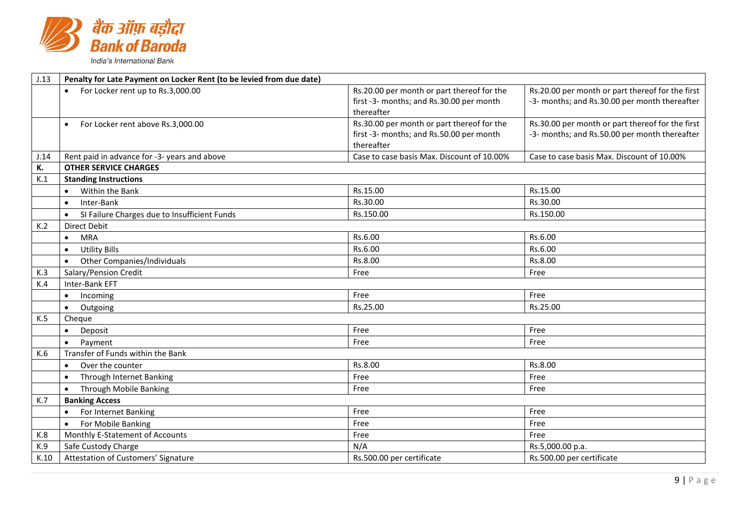

| J.13 | Penalty for Late Payment on Locker Rent (to be levied from due date) |                                            |                                                  |  |
|------|----------------------------------------------------------------------|--------------------------------------------|--------------------------------------------------|--|
|      | For Locker rent up to Rs.3,000.00<br>$\bullet$                       | Rs.20.00 per month or part thereof for the | Rs.20.00 per month or part thereof for the first |  |
|      |                                                                      | first -3- months; and Rs.30.00 per month   | -3- months; and Rs.30.00 per month thereafter    |  |
|      |                                                                      | thereafter                                 |                                                  |  |
|      | For Locker rent above Rs.3,000.00<br>$\bullet$                       | Rs.30.00 per month or part thereof for the | Rs.30.00 per month or part thereof for the first |  |
|      |                                                                      | first -3- months; and Rs.50.00 per month   | -3- months; and Rs.50.00 per month thereafter    |  |
|      |                                                                      | thereafter                                 |                                                  |  |
| J.14 | Rent paid in advance for -3- years and above                         | Case to case basis Max. Discount of 10.00% | Case to case basis Max. Discount of 10.00%       |  |
| К.   | <b>OTHER SERVICE CHARGES</b>                                         |                                            |                                                  |  |
| K.1  | <b>Standing Instructions</b>                                         |                                            |                                                  |  |
|      | Within the Bank                                                      | Rs.15.00                                   | Rs.15.00                                         |  |
|      | Inter-Bank<br>$\bullet$                                              | Rs.30.00                                   | Rs.30.00                                         |  |
|      | SI Failure Charges due to Insufficient Funds<br>$\bullet$            | Rs.150.00                                  | Rs.150.00                                        |  |
| K.2  | <b>Direct Debit</b>                                                  |                                            |                                                  |  |
|      | <b>MRA</b><br>$\bullet$                                              | Rs.6.00                                    | Rs.6.00                                          |  |
|      | <b>Utility Bills</b><br>$\bullet$                                    | Rs.6.00                                    | Rs.6.00                                          |  |
|      | Other Companies/Individuals<br>$\bullet$                             | Rs.8.00                                    | Rs.8.00                                          |  |
| K.3  | Salary/Pension Credit                                                | Free                                       | Free                                             |  |
| K.4  | Inter-Bank EFT                                                       |                                            |                                                  |  |
|      | Incoming<br>$\bullet$                                                | Free                                       | Free                                             |  |
|      | Outgoing<br>$\bullet$                                                | Rs.25.00                                   | Rs.25.00                                         |  |
| K.5  | Cheque                                                               |                                            |                                                  |  |
|      | Deposit<br>$\bullet$                                                 | Free                                       | Free                                             |  |
|      | Payment<br>$\bullet$                                                 | Free                                       | Free                                             |  |
| K.6  | Transfer of Funds within the Bank                                    |                                            |                                                  |  |
|      | Over the counter                                                     | Rs.8.00                                    | Rs.8.00                                          |  |
|      | Through Internet Banking<br>$\bullet$                                | Free                                       | Free                                             |  |
|      | <b>Through Mobile Banking</b><br>$\bullet$                           | Free                                       | Free                                             |  |
| K.7  | <b>Banking Access</b>                                                |                                            |                                                  |  |
|      | For Internet Banking<br>$\bullet$                                    | Free                                       | Free                                             |  |
|      | For Mobile Banking<br>$\bullet$                                      | Free                                       | Free                                             |  |
| K.8  | Monthly E-Statement of Accounts                                      | Free                                       | Free                                             |  |
| K.9  | Safe Custody Charge                                                  | N/A                                        | Rs.5,000.00 p.a.                                 |  |
| K.10 | Attestation of Customers' Signature                                  | Rs.500.00 per certificate                  | Rs.500.00 per certificate                        |  |